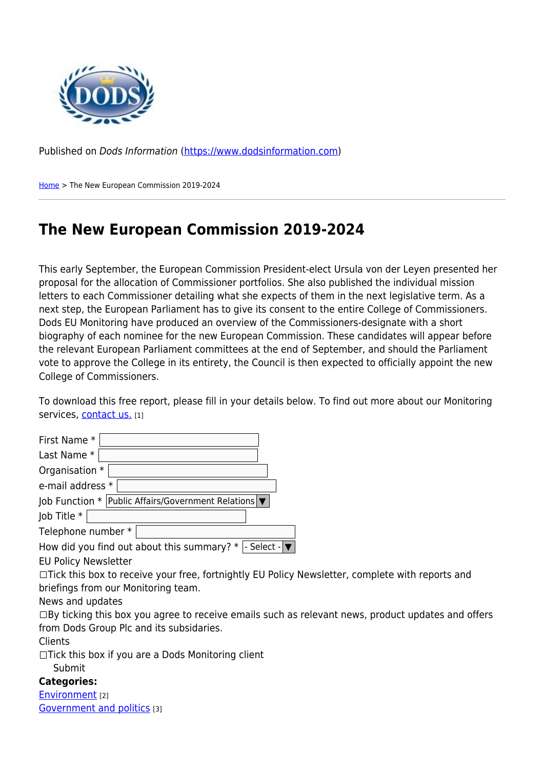

Published on Dods Information ([https://www.dodsinformation.com\)](https://www.dodsinformation.com)

[Home](https://www.dodsinformation.com/) > The New European Commission 2019-2024

## **The New European Commission 2019-2024**

This early September, the European Commission President-elect Ursula von der Leyen presented her proposal for the allocation of Commissioner portfolios. She also published the individual mission letters to each Commissioner detailing what she expects of them in the next legislative term. As a next step, the European Parliament has to give its consent to the entire College of Commissioners. Dods EU Monitoring have produced an overview of the Commissioners-designate with a short biography of each nominee for the new European Commission. These candidates will appear before the relevant European Parliament committees at the end of September, and should the Parliament vote to approve the College in its entirety, the Council is then expected to officially appoint the new College of Commissioners.

To download this free report, please fill in your details below. To find out more about our Monitoring services, [contact us.](http://www.dodsgroup.com/contact) [1]

relevant news, product updates and offers

| First Name *                                                                                           |
|--------------------------------------------------------------------------------------------------------|
| Last Name *                                                                                            |
| Organisation *                                                                                         |
| e-mail address *                                                                                       |
| Job Function *   Public Affairs/Government Relations   ▼                                               |
| Job Title *                                                                                            |
| Telephone number *                                                                                     |
| How did you find out about this summary? $*$  - Select - $\blacktriangledown$                          |
| <b>EU Policy Newsletter</b>                                                                            |
| $\Box$ Tick this box to receive your free, fortnightly EU Policy Newsletter, complete with reports and |
| briefings from our Monitoring team.                                                                    |
| News and updates                                                                                       |
| $\Box$ By ticking this box you agree to receive emails such as relevant news, product updates and o    |
| from Dods Group Plc and its subsidaries.                                                               |
| Clients                                                                                                |
| $\Box$ Tick this box if you are a Dods Monitoring client                                               |
| Submit                                                                                                 |
| <b>Categories:</b>                                                                                     |
| <b>Environment</b> [2]                                                                                 |

[Government and politics](https://www.dodsinformation.com/categories/government-and-politics) [3]